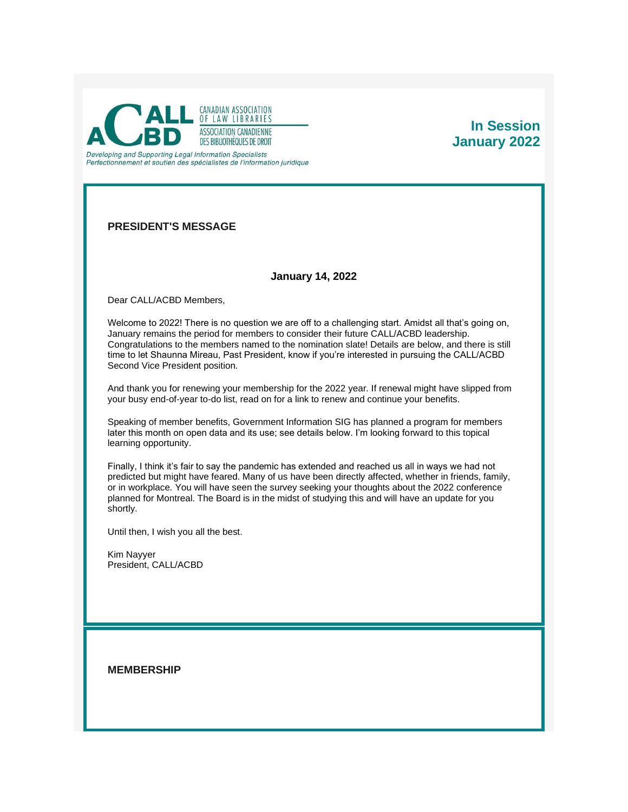

# **In Session January 2022**

**PRESIDENT'S MESSAGE**

## **January 14, 2022**

Dear CALL/ACBD Members,

Welcome to 2022! There is no question we are off to a challenging start. Amidst all that's going on, January remains the period for members to consider their future CALL/ACBD leadership. Congratulations to the members named to the nomination slate! Details are below, and there is still time to let Shaunna Mireau, Past President, know if you're interested in pursuing the CALL/ACBD Second Vice President position.

And thank you for renewing your membership for the 2022 year. If renewal might have slipped from your busy end-of-year to-do list, read on for a link to renew and continue your benefits.

Speaking of member benefits, Government Information SIG has planned a program for members later this month on open data and its use; see details below. I'm looking forward to this topical learning opportunity.

Finally, I think it's fair to say the pandemic has extended and reached us all in ways we had not predicted but might have feared. Many of us have been directly affected, whether in friends, family, or in workplace. You will have seen the survey seeking your thoughts about the 2022 conference planned for Montreal. The Board is in the midst of studying this and will have an update for you shortly.

Until then, I wish you all the best.

Kim Nayyer President, CALL/ACBD

**MEMBERSHIP**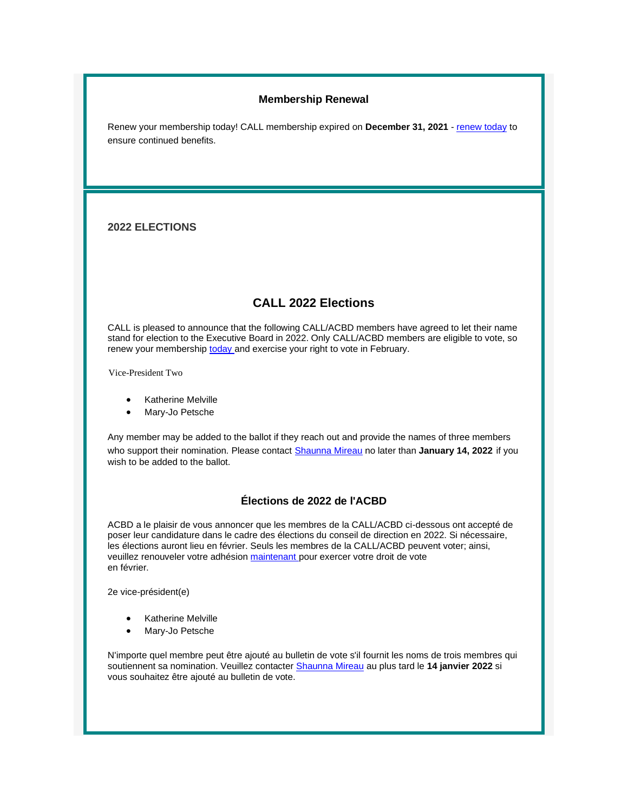## **Membership Renewal**

Renew your membership today! CALL membership expired on **December 31, 2021** - [renew today](https://callacbd.ca/EmailTracker/LinkTracker.ashx?linkAndRecipientCode=PFbu%2fJSPNxh4laDpL3t0ymw0eMfH%2blZ%2fH7JGywpAFW5wbPycZ9OwUH76ZJU66SDdn3LpuZ7HfqgKgzv6N9qVAS9Kk5a0dEgqcJkEccWSDvY%3d) to ensure continued benefits.

## **2022 ELECTIONS**

## **CALL 2022 Elections**

CALL is pleased to announce that the following CALL/ACBD members have agreed to let their name stand for election to the Executive Board in 2022. Only CALL/ACBD members are eligible to vote, so renew your membership [today](https://www.callacbd.ca/Membership-application) and exercise your right to vote in February.

Vice-President Two

- Katherine Melville
- Mary-Jo Petsche

Any member may be added to the ballot if they reach out and provide the names of three members who support their nomination. Please contact [Shaunna Mireau](mailto:smireau@gmail.com) no later than January 14, 2022 if you wish to be added to the ballot.

## **Élections de 2022 de l'ACBD**

ACBD a le plaisir de vous annoncer que les membres de la CALL/ACBD ci-dessous ont accepté de poser leur candidature dans le cadre des élections du conseil de direction en 2022. Si nécessaire, les élections auront lieu en février. Seuls les membres de la CALL/ACBD peuvent voter; ainsi, veuillez renouveler votre adhésion [maintenant](https://www.callacbd.ca/Membership-application) pour exercer votre droit de vote en février.

2e vice-président(e)

- Katherine Melville
- Mary-Jo Petsche

N'importe quel membre peut être ajouté au bulletin de vote s'il fournit les noms de trois membres qui soutiennent sa nomination. Veuillez contacter [Shaunna Mireau](mailto:smireau@gmail.com) au plus tard le **14 janvier 2022** si vous souhaitez être ajouté au bulletin de vote.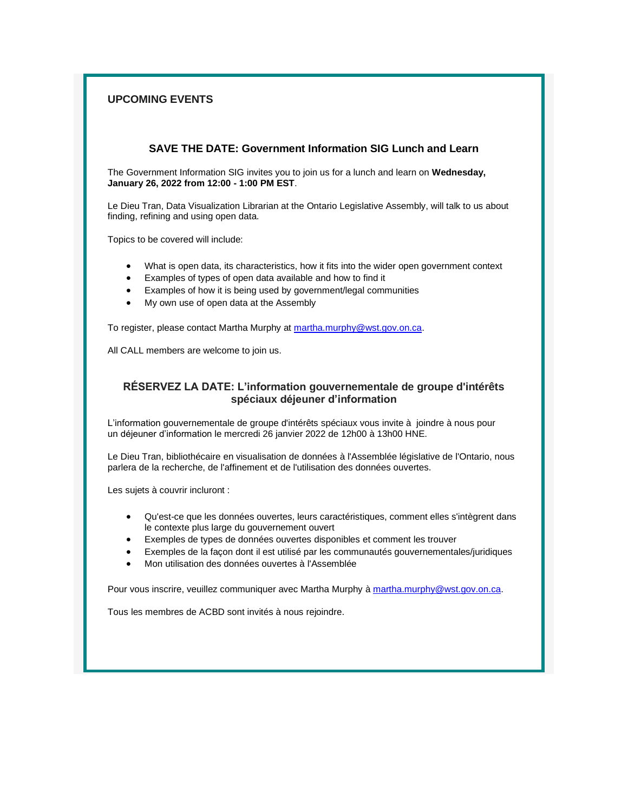## **UPCOMING EVENTS**

## **SAVE THE DATE: Government Information SIG Lunch and Learn**

The Government Information SIG invites you to join us for a lunch and learn on **Wednesday, January 26, 2022 from 12:00 - 1:00 PM EST**.

Le Dieu Tran, Data Visualization Librarian at the Ontario Legislative Assembly, will talk to us about finding, refining and using open data.

Topics to be covered will include:

- What is open data, its characteristics, how it fits into the wider open government context
- Examples of types of open data available and how to find it
- Examples of how it is being used by government/legal communities
- My own use of open data at the Assembly

To register, please contact Martha Murphy at [martha.murphy@wst.gov.on.ca.](mailto:martha.murphy@wst.gov.on.ca)

All CALL members are welcome to join us.

## **RÉSERVEZ LA DATE: L'information gouvernementale de groupe d'intérêts spéciaux déjeuner d'information**

L'information gouvernementale de groupe d'intérêts spéciaux vous invite à joindre à nous pour un déjeuner d'information le mercredi 26 janvier 2022 de 12h00 à 13h00 HNE.

Le Dieu Tran, bibliothécaire en visualisation de données à l'Assemblée législative de l'Ontario, nous parlera de la recherche, de l'affinement et de l'utilisation des données ouvertes.

Les sujets à couvrir incluront :

- Qu'est-ce que les données ouvertes, leurs caractéristiques, comment elles s'intègrent dans le contexte plus large du gouvernement ouvert
- Exemples de types de données ouvertes disponibles et comment les trouver
- Exemples de la façon dont il est utilisé par les communautés gouvernementales/juridiques
- Mon utilisation des données ouvertes à l'Assemblée

Pour vous inscrire, veuillez communiquer avec Martha Murphy à [martha.murphy@wst.gov.on.ca.](mailto:martha.murphy@wst.gov.on.ca)

Tous les membres de ACBD sont invités à nous rejoindre.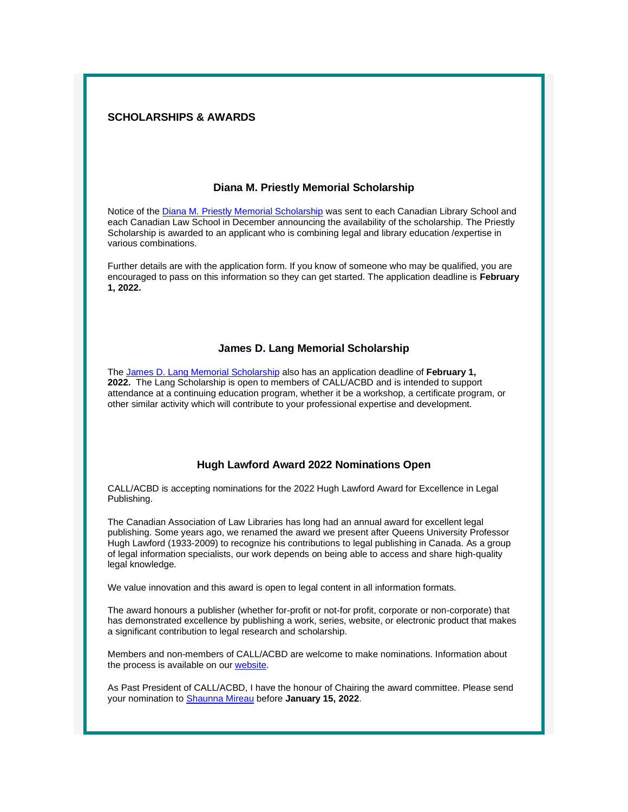#### **SCHOLARSHIPS & AWARDS**

#### **Diana M. Priestly Memorial Scholarship**

Notice of the [Diana M. Priestly Memorial Scholarship](https://www.callacbd.ca/resources/Documents/Diana%20Priestly%202021%20Updated.pdf) was sent to each Canadian Library School and each Canadian Law School in December announcing the availability of the scholarship. The Priestly Scholarship is awarded to an applicant who is combining legal and library education /expertise in various combinations.

Further details are with the application form. If you know of someone who may be qualified, you are encouraged to pass on this information so they can get started. The application deadline is **February 1, 2022.**

#### **James D. Lang Memorial Scholarship**

The [James D. Lang Memorial Scholarship](https://www.callacbd.ca/resources/Documents/James%20D%20Lang%20Award%20Form%20Updated%202020.pdf) also has an application deadline of **February 1, 2022.** The Lang Scholarship is open to members of CALL/ACBD and is intended to support attendance at a continuing education program, whether it be a workshop, a certificate program, or other similar activity which will contribute to your professional expertise and development.

#### **Hugh Lawford Award 2022 Nominations Open**

CALL/ACBD is accepting nominations for the 2022 Hugh Lawford Award for Excellence in Legal Publishing.

The Canadian Association of Law Libraries has long had an annual award for excellent legal publishing. Some years ago, we renamed the award we present after Queens University Professor Hugh Lawford (1933-2009) to recognize his contributions to legal publishing in Canada. As a group of legal information specialists, our work depends on being able to access and share high-quality legal knowledge.

We value innovation and this award is open to legal content in all information formats.

The award honours a publisher (whether for-profit or not-for profit, corporate or non-corporate) that has demonstrated excellence by publishing a work, series, website, or electronic product that makes a significant contribution to legal research and scholarship.

Members and non-members of CALL/ACBD are welcome to make nominations. Information about the process is available on our [website.](https://callacbd.ca/Awards)

As Past President of CALL/ACBD, I have the honour of Chairing the award committee. Please send your nomination to [Shaunna Mireau](mailto:smireau@gmail.com) before **January 15, 2022**.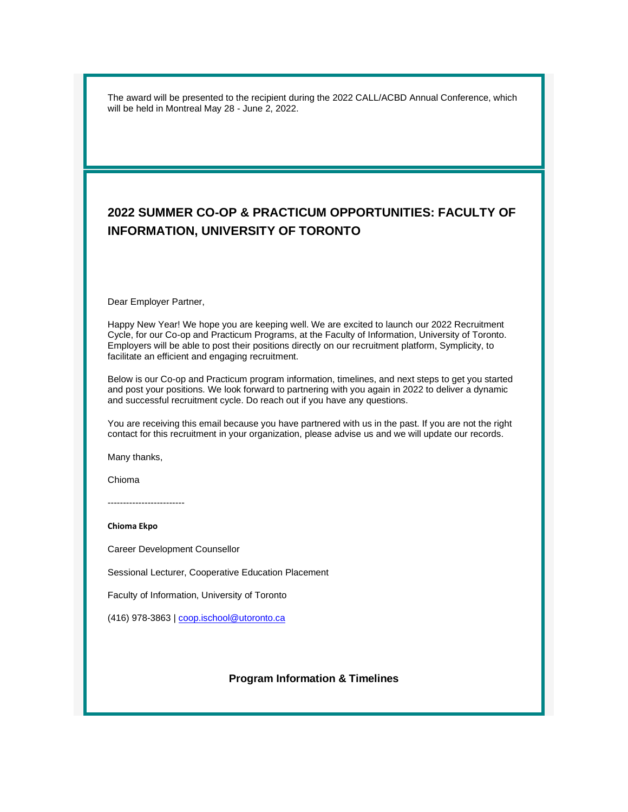The award will be presented to the recipient during the 2022 CALL/ACBD Annual Conference, which will be held in Montreal May 28 - June 2, 2022.

# **2022 SUMMER CO-OP & PRACTICUM OPPORTUNITIES: FACULTY OF INFORMATION, UNIVERSITY OF TORONTO**

Dear Employer Partner,

Happy New Year! We hope you are keeping well. We are excited to launch our 2022 Recruitment Cycle, for our Co-op and Practicum Programs, at the Faculty of Information, University of Toronto. Employers will be able to post their positions directly on our recruitment platform, Symplicity, to facilitate an efficient and engaging recruitment.

Below is our Co-op and Practicum program information, timelines, and next steps to get you started and post your positions. We look forward to partnering with you again in 2022 to deliver a dynamic and successful recruitment cycle. Do reach out if you have any questions.

You are receiving this email because you have partnered with us in the past. If you are not the right contact for this recruitment in your organization, please advise us and we will update our records.

Many thanks,

Chioma

-------------------------

**Chioma Ekpo**

Career Development Counsellor

Sessional Lecturer, Cooperative Education Placement

Faculty of Information, University of Toronto

(416) 978-3863 | [coop.ischool@utoronto.ca](mailto:coop.ischool@utoronto.ca)

#### **Program Information & Timelines**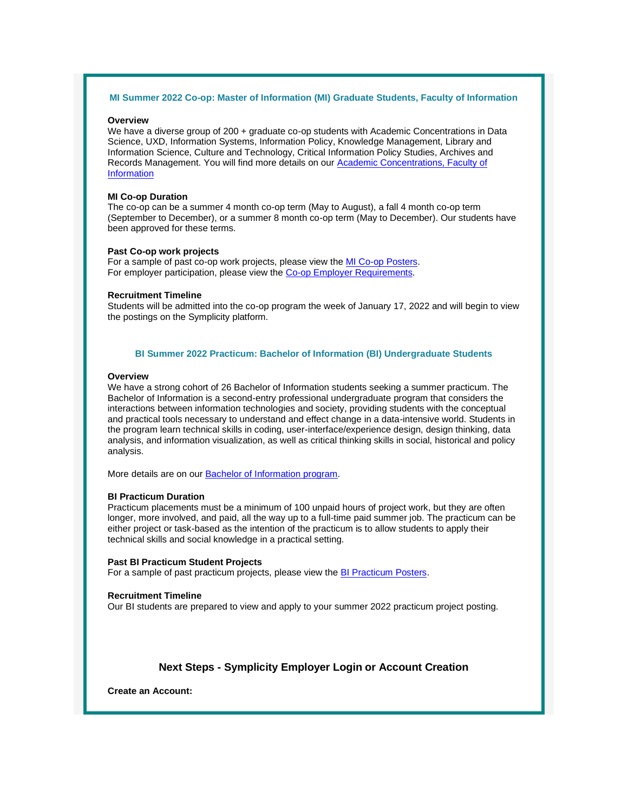#### **MI Summer 2022 Co-op: Master of Information (MI) Graduate Students, Faculty of Information**

#### **Overview**

We have a diverse group of 200 + graduate co-op students with Academic Concentrations in Data Science, UXD, Information Systems, Information Policy, Knowledge Management, Library and Information Science, Culture and Technology, Critical Information Policy Studies, Archives and Records Management. You will find more details on our [Academic Concentrations, Faculty of](https://ischool-utoronto-csm.symplicity.com/track/40d98a5ceaf2ff477ca31c9314540c5f/4011900004/realurl=https:/ischool.utoronto.ca/employers/hire-mi-co-op-students/#MI_concentrations)  **[Information](https://ischool-utoronto-csm.symplicity.com/track/40d98a5ceaf2ff477ca31c9314540c5f/4011900004/realurl=https:/ischool.utoronto.ca/employers/hire-mi-co-op-students/#MI_concentrations)** 

#### **MI Co-op Duration**

The co-op can be a summer 4 month co-op term (May to August), a fall 4 month co-op term (September to December), or a summer 8 month co-op term (May to December). Our students have been approved for these terms.

#### **Past Co-op work projects**

For a sample of past co-op work projects, please view the [MI Co-op Posters.](https://ischool-utoronto-csm.symplicity.com/track/40d98a5ceaf2ff477ca31c9314540c5f/4011900004/realurl=https:/ischool.utoronto.ca/employers/hire-mi-co-op-students) For employer participation, please view the [Co-op Employer Requirements.](https://ischool-utoronto-csm.symplicity.com/track/40d98a5ceaf2ff477ca31c9314540c5f/4011900004/realurl=https:/ischool.utoronto.ca/employers/hire-mi-co-op-students/#employer_requirements)

#### **Recruitment Timeline**

Students will be admitted into the co-op program the week of January 17, 2022 and will begin to view the postings on the Symplicity platform.

#### **BI Summer 2022 Practicum: Bachelor of Information (BI) Undergraduate Students**

#### **Overview**

We have a strong cohort of 26 Bachelor of Information students seeking a summer practicum. The Bachelor of Information is a second-entry professional undergraduate program that considers the interactions between information technologies and society, providing students with the conceptual and practical tools necessary to understand and effect change in a data-intensive world. Students in the program learn technical skills in coding, user-interface/experience design, design thinking, data analysis, and information visualization, as well as critical thinking skills in social, historical and policy analysis.

More details are on our [Bachelor of Information program.](https://ischool-utoronto-csm.symplicity.com/track/40d98a5ceaf2ff477ca31c9314540c5f/4011900004/realurl=https:/ischool.utoronto.ca/areas-of-study/bachelor-of-information)

#### **BI Practicum Duration**

Practicum placements must be a minimum of 100 unpaid hours of project work, but they are often longer, more involved, and paid, all the way up to a full-time paid summer job. The practicum can be either project or task-based as the intention of the practicum is to allow students to apply their technical skills and social knowledge in a practical setting.

#### **Past BI Practicum Student Projects**

For a sample of past practicum projects, please view the [BI Practicum Posters.](https://ischool-utoronto-csm.symplicity.com/track/40d98a5ceaf2ff477ca31c9314540c5f/4011900004/realurl=https:/ischool.utoronto.ca/current-students/careers/#BI_Practicum)

#### **Recruitment Timeline**

Our BI students are prepared to view and apply to your summer 2022 practicum project posting.

#### **Next Steps - Symplicity Employer Login or Account Creation**

**Create an Account:**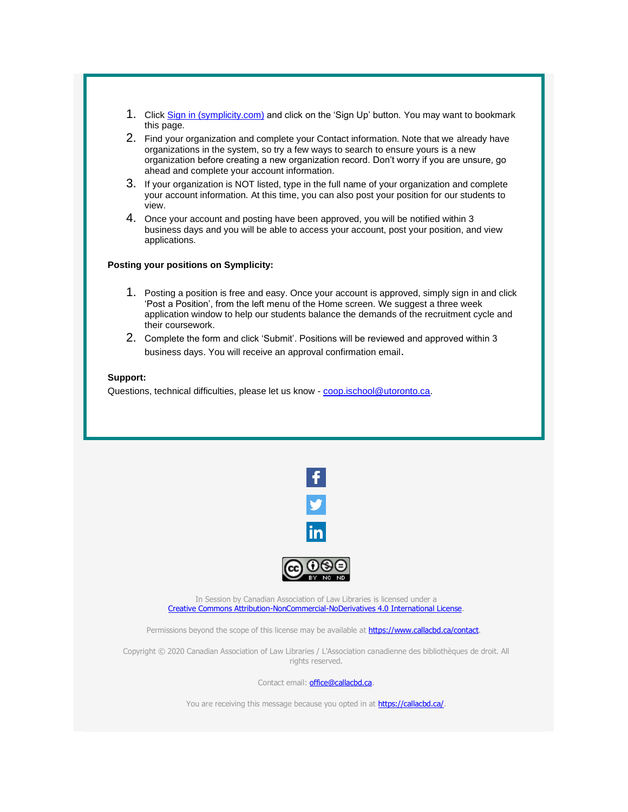- 1. Click [Sign in \(symplicity.com\)](https://ischool-utoronto-csm.symplicity.com/track/40d98a5ceaf2ff477ca31c9314540c5f/4011900004/realurl=https:/can01.safelinks.protection.outlook.com/?url=https%3A%2F%2Fischool-utoronto-csm.symplicity.com%2Femployers%2Findex.php%3Fsignin_tab%3D0%26signin_tab%3D0&data=04%7C01%7Ckyongei.kim%40mail.utoronto.ca%7C9c3b4a1e95234f3779d208d9d46f38f2%7C78aac2262f034b4d9037b46d56c55210%7C0%7C0%7C637774396429099896%7CUnknown%7CTWFpbGZsb3d8eyJWIjoiMC4wLjAwMDAiLCJQIjoiV2luMzIiLCJBTiI6Ik1haWwiLCJXVCI6Mn0%3D%7C3000&sdata=0qd4NGyIwDXbvgoUwyhZruQiXFPmNXhQjS8PmhDe%2Fo0%3D&reserved=0) and click on the 'Sign Up' button. You may want to bookmark this page.
- 2. Find your organization and complete your Contact information. Note that we already have organizations in the system, so try a few ways to search to ensure yours is a new organization before creating a new organization record. Don't worry if you are unsure, go ahead and complete your account information.
- 3. If your organization is NOT listed, type in the full name of your organization and complete your account information. At this time, you can also post your position for our students to view.
- 4. Once your account and posting have been approved, you will be notified within 3 business days and you will be able to access your account, post your position, and view applications.

#### **Posting your positions on Symplicity:**

- 1. Posting a position is free and easy. Once your account is approved, simply sign in and click 'Post a Position', from the left menu of the Home screen. We suggest a three week application window to help our students balance the demands of the recruitment cycle and their coursework.
- 2. Complete the form and click 'Submit'. Positions will be reviewed and approved within 3 business days. You will receive an approval confirmation email.

## **Support:**

Questions, technical difficulties, please let us know - [coop.ischool@utoronto.ca.](mailto:coop.ischool@utoronto.ca)



In Session by Canadian Association of Law Libraries is licensed under a [Creative Commons Attribution-NonCommercial-NoDerivatives 4.0 International License.](http://creativecommons.org/licenses/by-nc-nd/4.0)

Permissions beyond the scope of this license may be available at **https://www.callacbd.ca/contact**.

Copyright © 2020 Canadian Association of Law Libraries / L'Association canadienne des bibliothèques de droit. All rights reserved.

Contact email: **office@callacbd.ca**.

You are receiving this message because you opted in at **[https://callacbd.ca/.](https://callacbd.ca/)**